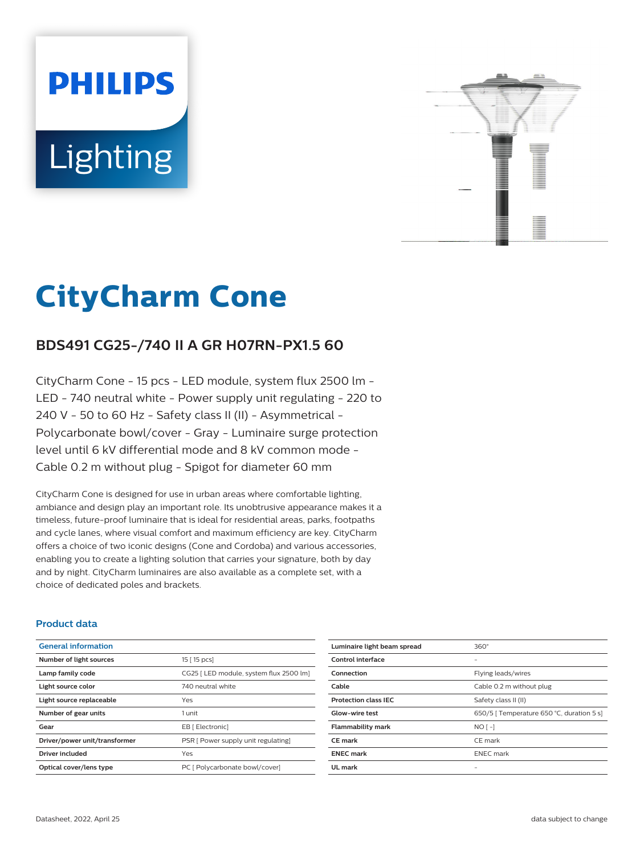# **PHILIPS Lighting**



## **CityCharm Cone**

### **BDS491 CG25-/740 II A GR H07RN-PX1.5 60**

CityCharm Cone - 15 pcs - LED module, system flux 2500 lm - LED - 740 neutral white - Power supply unit regulating - 220 to 240 V - 50 to 60 Hz - Safety class II (II) - Asymmetrical - Polycarbonate bowl/cover - Gray - Luminaire surge protection level until 6 kV differential mode and 8 kV common mode - Cable 0.2 m without plug - Spigot for diameter 60 mm

CityCharm Cone is designed for use in urban areas where comfortable lighting, ambiance and design play an important role. Its unobtrusive appearance makes it a timeless, future-proof luminaire that is ideal for residential areas, parks, footpaths and cycle lanes, where visual comfort and maximum efficiency are key. CityCharm offers a choice of two iconic designs (Cone and Cordoba) and various accessories, enabling you to create a lighting solution that carries your signature, both by day and by night. CityCharm luminaires are also available as a complete set, with a choice of dedicated poles and brackets.

#### **Product data**

| <b>General information</b>    |                                         |
|-------------------------------|-----------------------------------------|
| Number of light sources       | 15 [ 15 pcs]                            |
| Lamp family code              | CG25   LED module, system flux 2500 lm] |
| Light source color            | 740 neutral white                       |
| Light source replaceable      | Yes                                     |
| Number of gear units          | 1 unit                                  |
| Gear                          | EB [ Electronic]                        |
| Driver/power unit/transformer | PSR [ Power supply unit regulating]     |
| Driver included               | Yes                                     |
| Optical cover/lens type       | PC [ Polycarbonate bowl/cover]          |

| Luminaire light beam spread | $360^\circ$                               |
|-----------------------------|-------------------------------------------|
| Control interface           |                                           |
| Connection                  | Flying leads/wires                        |
| Cable                       | Cable 0.2 m without plug                  |
| <b>Protection class IEC</b> | Safety class II (II)                      |
| Glow-wire test              | 650/5   Temperature 650 °C, duration 5 s] |
| <b>Flammability mark</b>    | $NO[-]$                                   |
| <b>CE</b> mark              | CE mark                                   |
| <b>ENEC mark</b>            | <b>ENEC</b> mark                          |
| UL mark                     |                                           |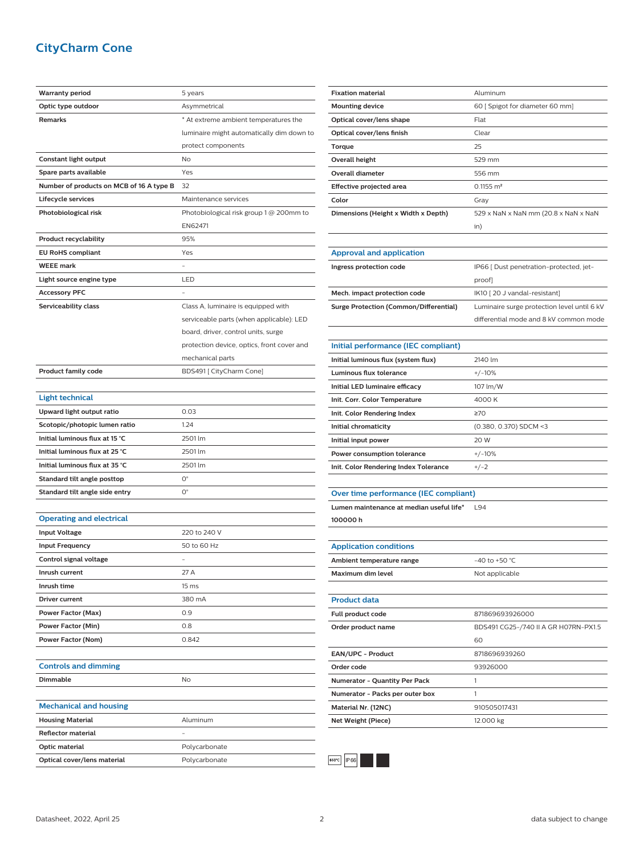#### **CityCharm Cone**

| <b>Warranty period</b>                   | 5 years                                    |
|------------------------------------------|--------------------------------------------|
| Optic type outdoor                       | Asymmetrical                               |
| <b>Remarks</b>                           | * At extreme ambient temperatures the      |
|                                          | luminaire might automatically dim down to  |
|                                          | protect components                         |
| Constant light output                    | No                                         |
| Spare parts available                    | Yes                                        |
| Number of products on MCB of 16 A type B | 32                                         |
| Lifecycle services                       | Maintenance services                       |
| Photobiological risk                     | Photobiological risk group 1 @ 200mm to    |
|                                          | EN62471                                    |
| <b>Product recyclability</b>             | 95%                                        |
| <b>EU RoHS compliant</b>                 | Yes                                        |
| <b>WEEE mark</b>                         |                                            |
| Light source engine type                 | LED                                        |
| <b>Accessory PFC</b>                     |                                            |
| Serviceability class                     | Class A, luminaire is equipped with        |
|                                          | serviceable parts (when applicable): LED   |
|                                          | board, driver, control units, surge        |
|                                          | protection device, optics, front cover and |
|                                          | mechanical parts                           |
| <b>Product family code</b>               | BDS491 [ CityCharm Cone]                   |
|                                          |                                            |
| <b>Light technical</b>                   |                                            |
| Upward light output ratio                | 0.03                                       |
| Scotopic/photopic lumen ratio            | 1.24                                       |
| Initial luminous flux at 15 °C           | 2501 lm                                    |
| Initial luminous flux at 25 °C           | 2501 lm                                    |
| Initial luminous flux at 35 °C           | 2501 lm                                    |
| Standard tilt angle posttop              | 0°                                         |
| Standard tilt angle side entry           | О°                                         |
|                                          |                                            |
| <b>Operating and electrical</b>          |                                            |
| <b>Input Voltage</b>                     | 220 to 240 V                               |
| <b>Input Frequency</b>                   | 50 to 60 Hz                                |
| Control signal voltage                   |                                            |
| Inrush current                           | 27 A                                       |
| Inrush time                              | 15 ms                                      |
| Driver current                           | 380 mA                                     |
| <b>Power Factor (Max)</b>                | 0.9                                        |
| Power Factor (Min)                       | 0.8                                        |
| Power Factor (Nom)                       | 0.842                                      |
|                                          |                                            |
| <b>Controls and dimming</b>              |                                            |
| <b>Dimmable</b>                          | No                                         |
|                                          |                                            |
| <b>Mechanical and housing</b>            |                                            |
| <b>Housing Material</b>                  | Aluminum                                   |
| <b>Reflector material</b>                |                                            |
| Optic material                           | Polycarbonate                              |
| Optical cover/lens material              | Polycarbonate                              |
|                                          |                                            |

| <b>Fixation material</b>                      | Aluminum                                    |
|-----------------------------------------------|---------------------------------------------|
| <b>Mounting device</b>                        | 60 [ Spigot for diameter 60 mm]             |
| Optical cover/lens shape                      | Flat                                        |
| Optical cover/lens finish                     | Clear                                       |
| Torque                                        | 25                                          |
| <b>Overall height</b>                         | 529 mm                                      |
| <b>Overall diameter</b>                       | 556 mm                                      |
| Effective projected area                      | $0.1155$ m <sup>2</sup>                     |
| Color                                         | Gray                                        |
| Dimensions (Height x Width x Depth)           | 529 x NaN x NaN mm (20.8 x NaN x NaN        |
|                                               | in)                                         |
|                                               |                                             |
| <b>Approval and application</b>               |                                             |
| Ingress protection code                       | IP66 [ Dust penetration-protected, jet-     |
|                                               | proof]                                      |
| Mech. impact protection code                  | IK10 [20 J vandal-resistant]                |
| <b>Surge Protection (Common/Differential)</b> | Luminaire surge protection level until 6 kV |
|                                               | differential mode and 8 kV common mode      |
|                                               |                                             |
| Initial performance (IEC compliant)           |                                             |
| Initial luminous flux (system flux)           | 2140 lm                                     |
| <b>Luminous flux tolerance</b>                | $+/-10%$                                    |
| Initial LED luminaire efficacy                | 107 lm/W                                    |
| Init. Corr. Color Temperature                 | 4000K                                       |
| Init. Color Rendering Index                   | $\geq 70$                                   |
| Initial chromaticity                          | (0.380, 0.370) SDCM <3                      |
| Initial input power                           | 20 W                                        |
| Power consumption tolerance                   | $+/-10%$                                    |
| Init. Color Rendering Index Tolerance         | $+/-2$                                      |
|                                               |                                             |
| Over time performance (IEC compliant)         |                                             |
| Lumen maintenance at median useful life*      | L94                                         |
| 100000h                                       |                                             |
|                                               |                                             |
| <b>Application conditions</b>                 |                                             |
| Ambient temperature range                     | -40 to +50 °C                               |
| Maximum dim level                             | Not applicable                              |
|                                               |                                             |
| <b>Product data</b>                           |                                             |
| Full product code                             | 871869693926000                             |
| Order product name                            | BDS491 CG25-/740 II A GR H07RN-PX1.5        |
|                                               | 60                                          |
| EAN/UPC - Product                             | 8718696939260                               |
| Order code                                    | 93926000                                    |
| Numerator - Quantity Per Pack                 | 1                                           |
| Numerator - Packs per outer box               | 1                                           |
| Material Nr. (12NC)                           | 910505017431                                |
| <b>Net Weight (Piece)</b>                     | 12.000 kg                                   |
|                                               |                                             |